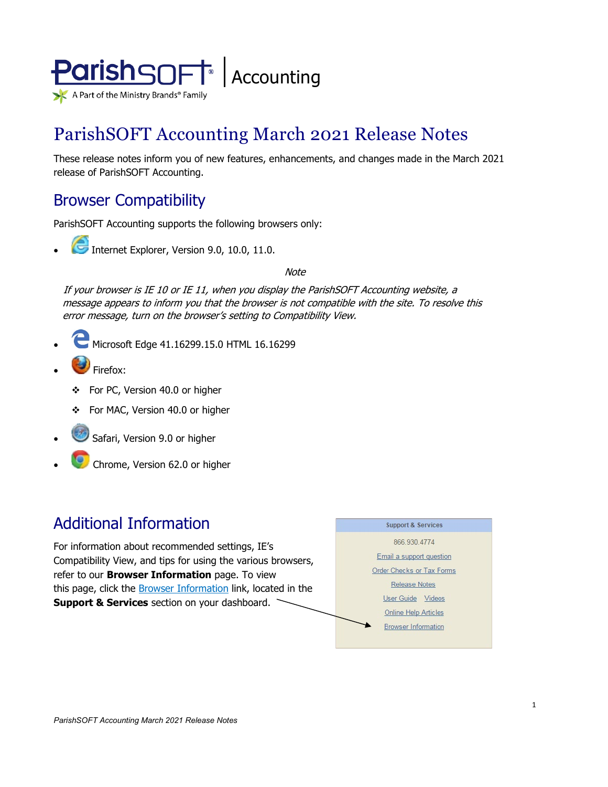

# ParishSOFT Accounting March 2021 Release Notes

These release notes inform you of new features, enhancements, and changes made in the March 2021 release of ParishSOFT Accounting.

# Browser Compatibility

ParishSOFT Accounting supports the following browsers only:

**• Internet Explorer, Version 9.0, 10.0, 11.0.** 

**Note** 

If your browser is IE 10 or IE 11, when you display the ParishSOFT Accounting website, a message appears to inform you that the browser is not compatible with the site. To resolve this error message, turn on the browser's setting to Compatibility View.

- Microsoft Edge 41.16299.15.0 HTML 16.16299
- Firefox:
	- For PC, Version 40.0 or higher
	- For MAC, Version 40.0 or higher
- Safari, Version 9.0 or higher
- Chrome, Version 62.0 or higher

# Additional Information

For information about recommended settings, IE's Compatibility View, and tips for using the various browsers, refer to our **Browser Information** page. To view this page, click the **Browser Information** link, located in the **Support & Services** section on your dashboard.

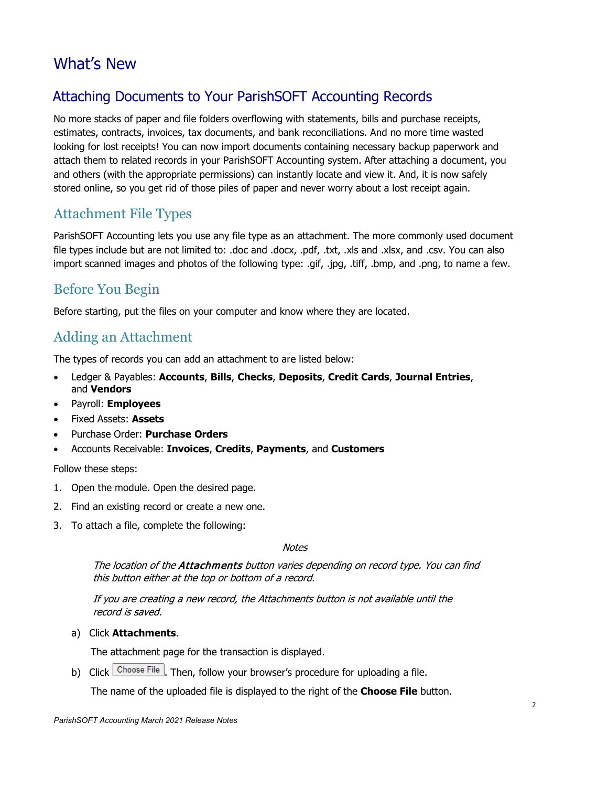# What's New

# <span id="page-1-0"></span>Attaching Documents to Your ParishSOFT Accounting Records

No more stacks of paper and file folders overflowing with statements, bills and purchase receipts, estimates, contracts, invoices, tax documents, and bank reconciliations. And no more time wasted looking for lost receipts! You can now import documents containing necessary backup paperwork and attach them to related records in your ParishSOFT Accounting system. After attaching a document, you and others (with the appropriate permissions) can instantly locate and view it. And, it is now safely stored online, so you get rid of those piles of paper and never worry about a lost receipt again.

# Attachment File Types

ParishSOFT Accounting lets you use any file type as an attachment. The more commonly used document file types include but are not limited to: .doc and .docx, .pdf, .txt, .xls and .xlsx, and .csv. You can also import scanned images and photos of the following type: .gif, .jpg, .tiff, .bmp, and .png, to name a few.

# Before You Begin

Before starting, put the files on your computer and know where they are located.

# Adding an Attachment

The types of records you can add an attachment to are listed below:

- Ledger & Payables: **Accounts**, **Bills**, **Checks**, **Deposits**, **Credit Cards**, **Journal Entries**, and **Vendors**
- Payroll: **Employees**
- Fixed Assets: **Assets**
- Purchase Order: **Purchase Orders**
- Accounts Receivable: **Invoices**, **Credits**, **Payments**, and **Customers**

#### Follow these steps:

- 1. Open the module. Open the desired page.
- 2. Find an existing record or create a new one.
- 3. To attach a file, complete the following:

#### **Notes**

The location of the **Attachments** button varies depending on record type. You can find this button either at the top or bottom of a record.

If you are creating a new record, the Attachments button is not available until the record is saved.

a) Click **Attachments**.

The attachment page for the transaction is displayed.

b) Click  $\lfloor$  Choose File  $\rfloor$ . Then, follow your browser's procedure for uploading a file.

The name of the uploaded file is displayed to the right of the **Choose File** button.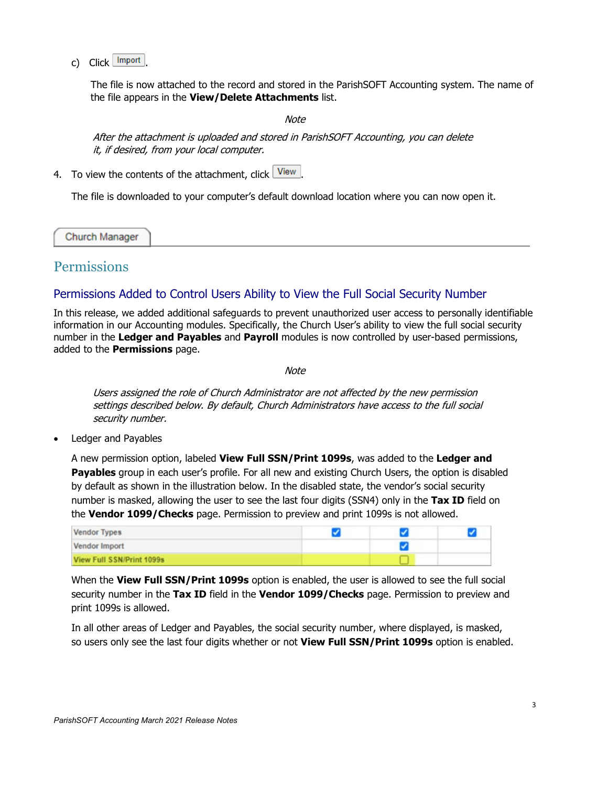c) Click Import

The file is now attached to the record and stored in the ParishSOFT Accounting system. The name of the file appears in the **View/Delete Attachments** list.

Note

After the attachment is uploaded and stored in ParishSOFT Accounting, you can delete it, if desired, from your local computer.

4. To view the contents of the attachment, click  $\boxed{\text{View}}$ 

The file is downloaded to your computer's default download location where you can now open it.

Church Manager

## **Permissions**

#### <span id="page-2-0"></span>Permissions Added to Control Users Ability to View the Full Social Security Number

In this release, we added additional safeguards to prevent unauthorized user access to personally identifiable information in our Accounting modules. Specifically, the Church User's ability to view the full social security number in the **Ledger and Payables** and **Payroll** modules is now controlled by user-based permissions, added to the **Permissions** page.

**Note** 

Users assigned the role of Church Administrator are not affected by the new permission settings described below. By default, Church Administrators have access to the full social security number.

• Ledger and Payables

A new permission option, labeled **View Full SSN/Print 1099s**, was added to the **Ledger and Payables** group in each user's profile. For all new and existing Church Users, the option is disabled by default as shown in the illustration below. In the disabled state, the vendor's social security number is masked, allowing the user to see the last four digits (SSN4) only in the **Tax ID** field on the **Vendor 1099/Checks** page. Permission to preview and print 1099s is not allowed.

| <b>Vendor Types</b>       |  |  |
|---------------------------|--|--|
| Vendor Import             |  |  |
| View Full SSN/Print 1099s |  |  |

When the **View Full SSN/Print 1099s** option is enabled, the user is allowed to see the full social security number in the **Tax ID** field in the **Vendor 1099/Checks** page. Permission to preview and print 1099s is allowed.

In all other areas of Ledger and Payables, the social security number, where displayed, is masked, so users only see the last four digits whether or not **View Full SSN/Print 1099s** option is enabled.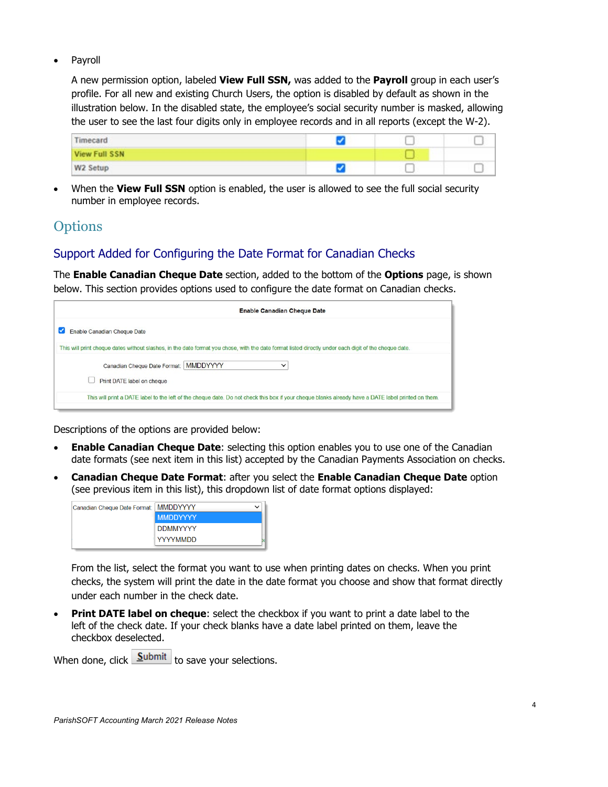**Payroll** 

A new permission option, labeled **View Full SSN,** was added to the **Payroll** group in each user's profile. For all new and existing Church Users, the option is disabled by default as shown in the illustration below. In the disabled state, the employee's social security number is masked, allowing the user to see the last four digits only in employee records and in all reports (except the W-2).

| Timecard      |  |  |
|---------------|--|--|
| View Full SSN |  |  |
| W2 Setup      |  |  |

• When the **View Full SSN** option is enabled, the user is allowed to see the full social security number in employee records.

# **Options**

### <span id="page-3-0"></span>Support Added for Configuring the Date Format for Canadian Checks

The **Enable Canadian Cheque Date** section, added to the bottom of the **Options** page, is shown below. This section provides options used to configure the date format on Canadian checks.

| <b>Enable Canadian Cheque Date</b> |                                                                                                                                                       |  |
|------------------------------------|-------------------------------------------------------------------------------------------------------------------------------------------------------|--|
| Enable Canadian Cheque Date<br>M   |                                                                                                                                                       |  |
|                                    | This will print cheque dates without slashes, in the date format you chose, with the date format listed directly under each digit of the cheque date. |  |
| Canadian Cheque Date Format:       | <b>MMDDYYYY</b><br>$\checkmark$                                                                                                                       |  |
| Print DATE label on cheque         |                                                                                                                                                       |  |
|                                    | This will print a DATE label to the left of the cheque date. Do not check this box if your cheque blanks already have a DATE label printed on them.   |  |
|                                    |                                                                                                                                                       |  |

Descriptions of the options are provided below:

- **Enable Canadian Cheque Date**: selecting this option enables you to use one of the Canadian date formats (see next item in this list) accepted by the Canadian Payments Association on checks.
- **Canadian Cheque Date Format**: after you select the **Enable Canadian Cheque Date** option (see previous item in this list), this dropdown list of date format options displayed:



From the list, select the format you want to use when printing dates on checks. When you print checks, the system will print the date in the date format you choose and show that format directly under each number in the check date.

**Print DATE label on cheque:** select the checkbox if you want to print a date label to the left of the check date. If your check blanks have a date label printed on them, leave the checkbox deselected.

When done, click  $\boxed{\underline{\text{Submit}}}$  to save your selections.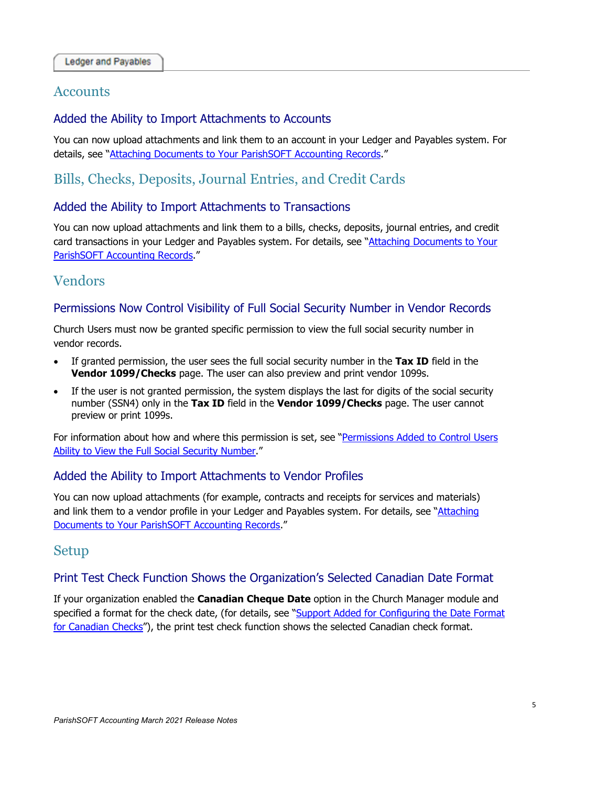### **Accounts**

#### Added the Ability to Import Attachments to Accounts

You can now upload attachments and link them to an account in your Ledger and Payables system. For details, see ["Attaching Documents to Your ParishSOFT Accounting Records.](#page-1-0)"

# Bills, Checks, Deposits, Journal Entries, and Credit Cards

#### Added the Ability to Import Attachments to Transactions

You can now upload attachments and link them to a bills, checks, deposits, journal entries, and credit card transactions in your Ledger and Payables system. For details, see ["Attaching Documents to Your](#page-1-0)  [ParishSOFT Accounting Records.](#page-1-0)"

# Vendors

#### Permissions Now Control Visibility of Full Social Security Number in Vendor Records

Church Users must now be granted specific permission to view the full social security number in vendor records.

- If granted permission, the user sees the full social security number in the **Tax ID** field in the **Vendor 1099/Checks** page. The user can also preview and print vendor 1099s.
- If the user is not granted permission, the system displays the last for digits of the social security number (SSN4) only in the **Tax ID** field in the **Vendor 1099/Checks** page. The user cannot preview or print 1099s.

For information about how and where this permission is set, see ["Permissions Added to Control Users](#page-2-0)  [Ability to View the Full Social Security Number.](#page-2-0)"

#### Added the Ability to Import Attachments to Vendor Profiles

You can now upload attachments (for example, contracts and receipts for services and materials) and link them to a vendor profile in your Ledger and Payables system. For details, see "Attaching [Documents to Your ParishSOFT Accounting Records.](#page-1-0)"

# Setup

#### Print Test Check Function Shows the Organization's Selected Canadian Date Format

If your organization enabled the **Canadian Cheque Date** option in the Church Manager module and specified a format for the check date, (for details, see "Support Added for Configuring the Date Format [for Canadian Checks"](#page-3-0)), the print test check function shows the selected Canadian check format.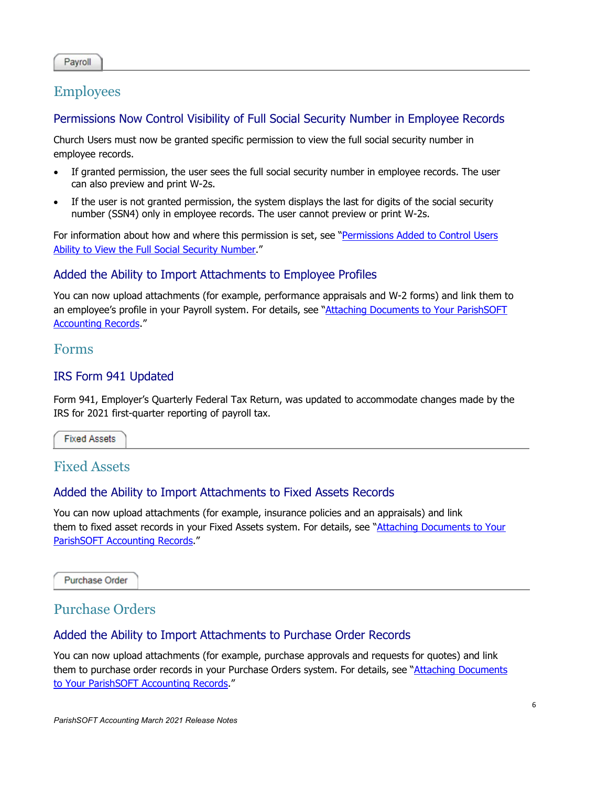#### Payroll

## Employees

#### Permissions Now Control Visibility of Full Social Security Number in Employee Records

Church Users must now be granted specific permission to view the full social security number in employee records.

- If granted permission, the user sees the full social security number in employee records. The user can also preview and print W-2s.
- If the user is not granted permission, the system displays the last for digits of the social security number (SSN4) only in employee records. The user cannot preview or print W-2s.

For information about how and where this permission is set, see "Permissions Added to Control Users [Ability to View the Full Social Security Number.](#page-2-0)"

#### Added the Ability to Import Attachments to Employee Profiles

You can now upload attachments (for example, performance appraisals and W-2 forms) and link them to an employee's profile in your Payroll system. For details, see ["Attaching Documents to Your ParishSOFT](#page-1-0)  [Accounting Records.](#page-1-0)"

#### Forms

#### IRS Form 941 Updated

Form 941, Employer's Quarterly Federal Tax Return, was updated to accommodate changes made by the IRS for 2021 first-quarter reporting of payroll tax.

**Fixed Assets** 

# Fixed Assets

#### Added the Ability to Import Attachments to Fixed Assets Records

You can now upload attachments (for example, insurance policies and an appraisals) and link them to fixed asset records in your Fixed Assets system. For details, see "Attaching [Documents to Your](#page-1-0)  [ParishSOFT Accounting Records.](#page-1-0)"

**Purchase Order** 

### Purchase Orders

#### Added the Ability to Import Attachments to Purchase Order Records

You can now upload attachments (for example, purchase approvals and requests for quotes) and link them to purchase order records in your Purchase Orders system. For details, see "Attaching Documents [to Your ParishSOFT Accounting Records.](#page-1-0)"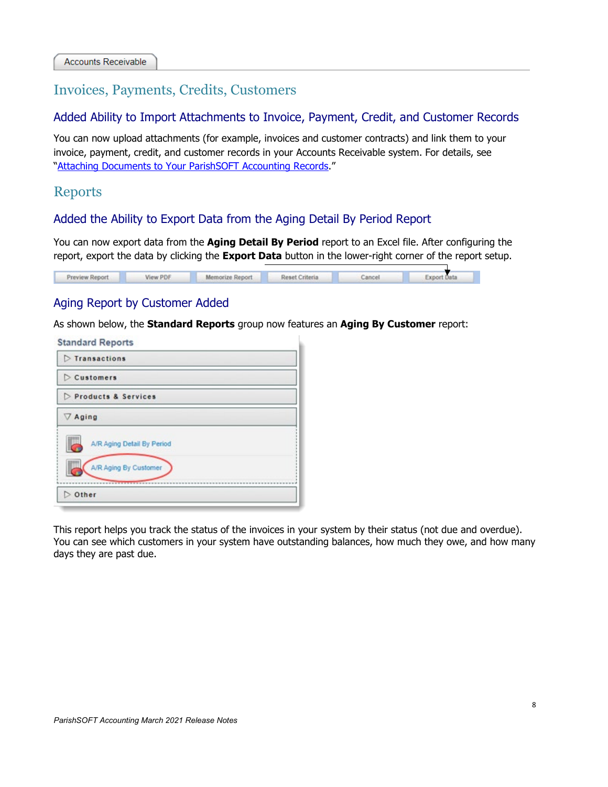# Invoices, Payments, Credits, Customers

#### Added Ability to Import Attachments to Invoice, Payment, Credit, and Customer Records

You can now upload attachments (for example, invoices and customer contracts) and link them to your invoice, payment, credit, and customer records in your Accounts Receivable system. For details, see ["Attaching Documents to Your ParishSOFT Accounting Records.](#page-1-0)"

### Reports

#### Added the Ability to Export Data from the Aging Detail By Period Report

You can now export data from the **Aging Detail By Period** report to an Excel file. After configuring the report, export the data by clicking the **Export Data** button in the lower-right corner of the report setup.

| Preview Report | View PDF | Memorize Report | Reset Criteria | Cancel | <b>Export Data</b> |
|----------------|----------|-----------------|----------------|--------|--------------------|
|                |          |                 |                |        |                    |

#### Aging Report by Customer Added

As shown below, the **Standard Reports** group now features an **Aging By Customer** report:

| <b>Standard Reports</b>                                  |  |
|----------------------------------------------------------|--|
| $\triangleright$ Transactions                            |  |
| $\triangleright$ Customers                               |  |
| Products & Services                                      |  |
| $\nabla$ Aging                                           |  |
| A/R Aging Detail By Period<br>ш<br>A/R Aging By Customer |  |
| Other                                                    |  |

This report helps you track the status of the invoices in your system by their status (not due and overdue). You can see which customers in your system have outstanding balances, how much they owe, and how many days they are past due.